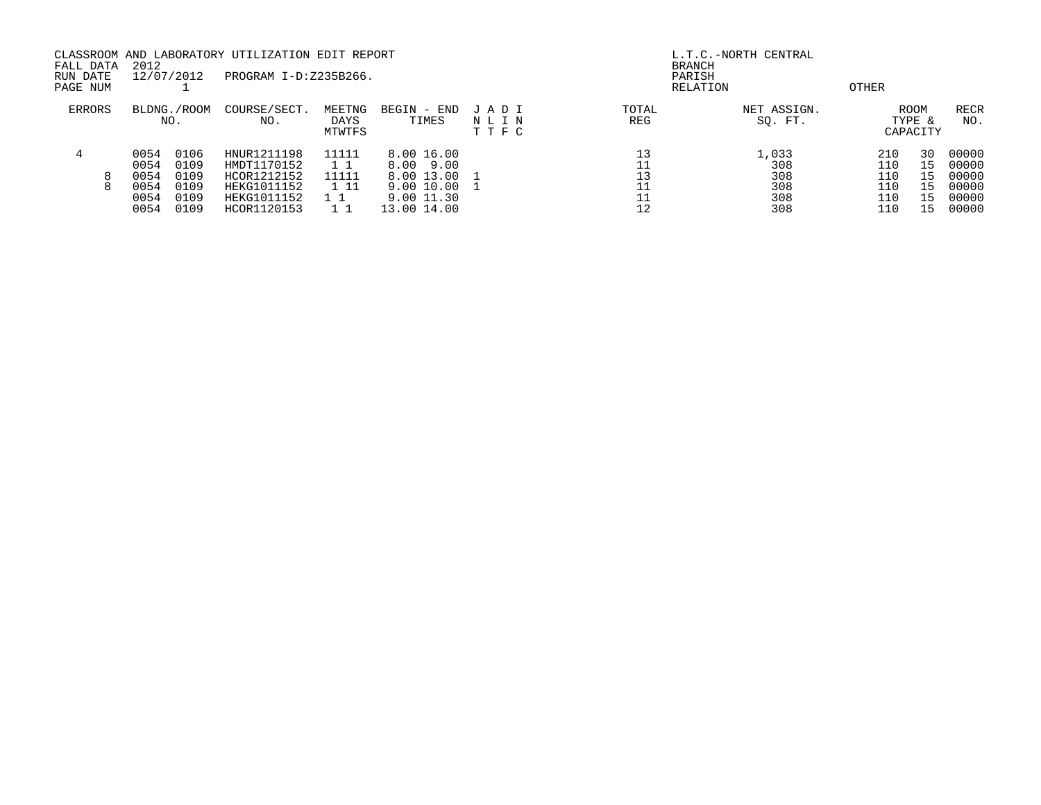| FALL DATA<br>RUN DATE | 2012<br>12/07/2012                   |                                      | CLASSROOM AND LABORATORY UTILIZATION EDIT REPORT<br>PROGRAM I-D:Z235B266. |                          |                                                                   |                         |              | L.T.C.-NORTH CENTRAL<br><b>BRANCH</b><br>PARISH |                                 |                            |                                           |
|-----------------------|--------------------------------------|--------------------------------------|---------------------------------------------------------------------------|--------------------------|-------------------------------------------------------------------|-------------------------|--------------|-------------------------------------------------|---------------------------------|----------------------------|-------------------------------------------|
| PAGE NUM              |                                      |                                      |                                                                           |                          |                                                                   |                         |              | RELATION                                        | OTHER                           |                            |                                           |
| ERRORS                | BLDNG./ROOM<br>NO.                   |                                      | COURSE/SECT.<br>NO.                                                       | MEETNG<br>DAYS<br>MTWTFS | BEGIN - END<br>TIMES                                              | JADI<br>NLIN<br>T T F C | TOTAL<br>REG | NET ASSIGN.<br>SQ. FT.                          |                                 | ROOM<br>TYPE &<br>CAPACITY | RECR<br>NO.                               |
| 4<br>8<br>8           | 0054<br>0054<br>0054<br>0054<br>0054 | 0106<br>0109<br>0109<br>0109<br>0109 | HNUR1211198<br>HMDT1170152<br>HCOR1212152<br>HEKG1011152<br>HEKG1011152   | 11111<br>11111<br>1 1 1  | 8.00 16.00<br>8.00 9.00<br>8.00 13.00<br>9.00 10.00<br>9.00 11.30 |                         | 13           | 1,033<br>308<br>308<br>308<br>308               | 210<br>110<br>110<br>110<br>110 | 30<br>15<br>15<br>15<br>15 | 00000<br>00000<br>00000<br>00000<br>00000 |
|                       | 0054                                 | 0109                                 | HCOR1120153                                                               |                          | 13.00 14.00                                                       |                         | 12           | 308                                             | 110                             | 15                         | 00000                                     |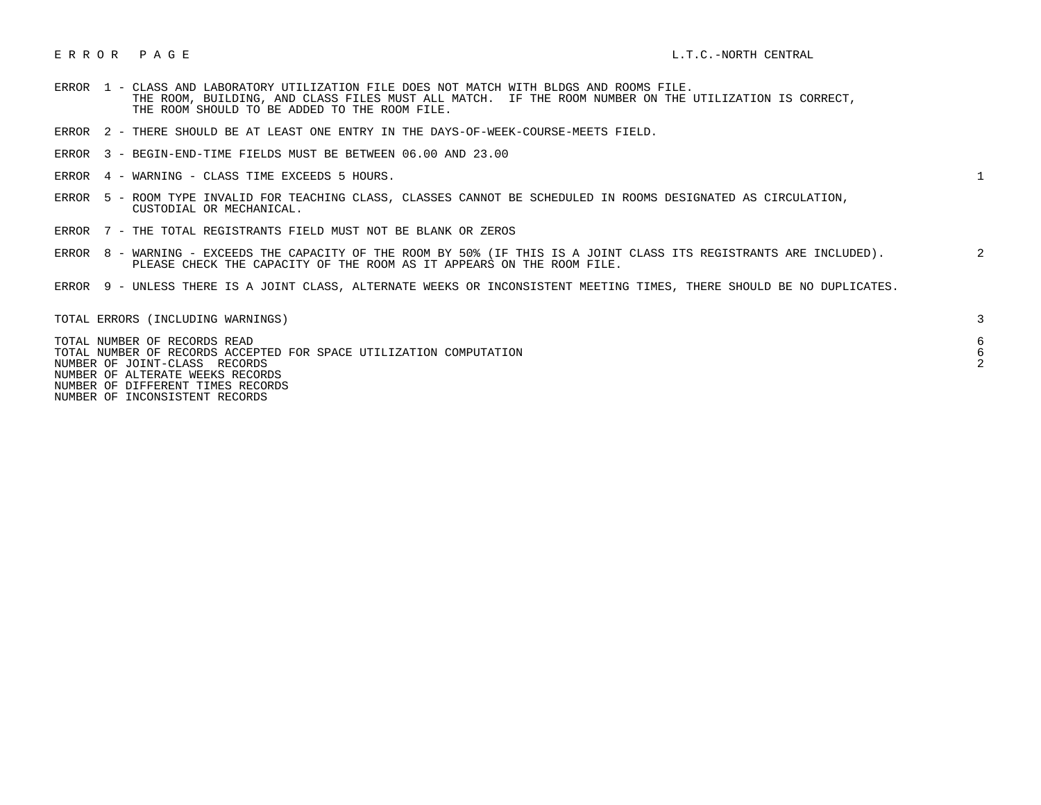## ERROR PAGE EXTRAL EXTRAL EXTRAL EXTRAL EXTRAL EXTRAL EXTRAL EXTRAL EXTRAL EXTRAL EXTRAL EXTRAL EXTRAL EXTRAL

- ERROR 1 CLASS AND LABORATORY UTILIZATION FILE DOES NOT MATCH WITH BLDGS AND ROOMS FILE. THE ROOM, BUILDING, AND CLASS FILES MUST ALL MATCH. IF THE ROOM NUMBER ON THE UTILIZATION IS CORRECT, THE ROOM SHOULD TO BE ADDED TO THE ROOM FILE.
- ERROR 2 THERE SHOULD BE AT LEAST ONE ENTRY IN THE DAYS-OF-WEEK-COURSE-MEETS FIELD.
- ERROR 3 BEGIN-END-TIME FIELDS MUST BE BETWEEN 06.00 AND 23.00
- ERROR 4 WARNING CLASS TIME EXCEEDS 5 HOURS. 1
- ERROR 5 ROOM TYPE INVALID FOR TEACHING CLASS, CLASSES CANNOT BE SCHEDULED IN ROOMS DESIGNATED AS CIRCULATION, CUSTODIAL OR MECHANICAL.
- ERROR 7 THE TOTAL REGISTRANTS FIELD MUST NOT BE BLANK OR ZEROS
- ERROR 8 WARNING EXCEEDS THE CAPACITY OF THE ROOM BY 50% (IF THIS IS A JOINT CLASS ITS REGISTRANTS ARE INCLUDED). 2 PLEASE CHECK THE CAPACITY OF THE ROOM AS IT APPEARS ON THE ROOM FILE.
- ERROR 9 UNLESS THERE IS A JOINT CLASS, ALTERNATE WEEKS OR INCONSISTENT MEETING TIMES, THERE SHOULD BE NO DUPLICATES.

| TOTAL ERRORS (INCLUDING WARNINGS)                                                                                                                                       |  |
|-------------------------------------------------------------------------------------------------------------------------------------------------------------------------|--|
| TOTAL NUMBER OF RECORDS READ<br>TOTAL NUMBER OF RECORDS ACCEPTED FOR SPACE UTILIZATION COMPUTATION<br>NUMBER OF JOINT-CLASS RECORDS<br>NUMBER OF ALTERATE WEEKS RECORDS |  |
| NUMBER OF DIFFERENT TIMES RECORDS                                                                                                                                       |  |

NUMBER OF INCONSISTENT RECORDS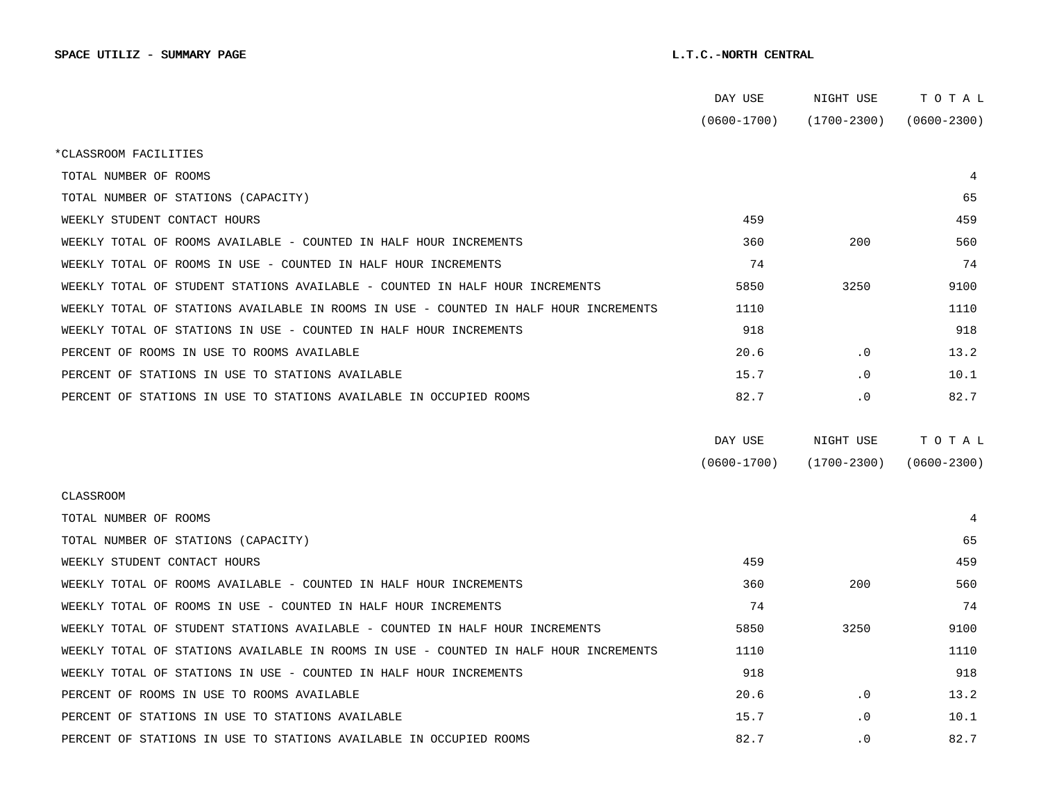|                                                                                      | DAY USE         | NIGHT USE       | тотаь           |
|--------------------------------------------------------------------------------------|-----------------|-----------------|-----------------|
|                                                                                      | $(0600 - 1700)$ | $(1700 - 2300)$ | $(0600 - 2300)$ |
| *CLASSROOM FACILITIES                                                                |                 |                 |                 |
| TOTAL NUMBER OF ROOMS                                                                |                 |                 | 4               |
| TOTAL NUMBER OF STATIONS (CAPACITY)                                                  |                 |                 | 65              |
| WEEKLY STUDENT CONTACT HOURS                                                         | 459             |                 | 459             |
| WEEKLY TOTAL OF ROOMS AVAILABLE - COUNTED IN HALF HOUR INCREMENTS                    | 360             | 200             | 560             |
| WEEKLY TOTAL OF ROOMS IN USE - COUNTED IN HALF HOUR INCREMENTS                       | 74              |                 | 74              |
| WEEKLY TOTAL OF STUDENT STATIONS AVAILABLE - COUNTED IN HALF HOUR INCREMENTS         | 5850            | 3250            | 9100            |
| WEEKLY TOTAL OF STATIONS AVAILABLE IN ROOMS IN USE - COUNTED IN HALF HOUR INCREMENTS | 1110            |                 | 1110            |
| WEEKLY TOTAL OF STATIONS IN USE - COUNTED IN HALF HOUR INCREMENTS                    | 918             |                 | 918             |
| PERCENT OF ROOMS IN USE TO ROOMS AVAILABLE                                           | 20.6            | $\cdot$ 0       | 13.2            |
| PERCENT OF STATIONS IN USE TO STATIONS AVAILABLE                                     | 15.7            | $\cdot$ 0       | 10.1            |
| PERCENT OF STATIONS IN USE TO STATIONS AVAILABLE IN OCCUPIED ROOMS                   | 82.7            | $\cdot$ 0       | 82.7            |
|                                                                                      |                 |                 |                 |
|                                                                                      | DAY USE         | NIGHT USE       | TOTAL           |
|                                                                                      | $(0600 - 1700)$ | $(1700 - 2300)$ | $(0600 - 2300)$ |
| CLASSROOM                                                                            |                 |                 |                 |
| TOTAL NUMBER OF ROOMS                                                                |                 |                 | 4               |
| TOTAL NUMBER OF STATIONS (CAPACITY)                                                  |                 |                 | 65              |
| WEEKLY STUDENT CONTACT HOURS                                                         | 459             |                 | 459             |
| WEEKLY TOTAL OF ROOMS AVAILABLE - COUNTED IN HALF HOUR INCREMENTS                    | 360             | 200             | 560             |
| WEEKLY TOTAL OF ROOMS IN USE - COUNTED IN HALF HOUR INCREMENTS                       | 74              |                 | 74              |
| WEEKLY TOTAL OF STUDENT STATIONS AVAILABLE - COUNTED IN HALF HOUR INCREMENTS         | 5850            | 3250            | 9100            |
| WEEKLY TOTAL OF STATIONS AVAILABLE IN ROOMS IN USE - COUNTED IN HALF HOUR INCREMENTS | 1110            |                 | 1110            |
| WEEKLY TOTAL OF STATIONS IN USE - COUNTED IN HALF HOUR INCREMENTS                    | 918             |                 | 918             |
| PERCENT OF ROOMS IN USE TO ROOMS AVAILABLE                                           | 20.6            | $\cdot$ 0       | 13.2            |
| PERCENT OF STATIONS IN USE TO STATIONS AVAILABLE                                     | 15.7            | $\cdot$ 0       | 10.1            |
| PERCENT OF STATIONS IN USE TO STATIONS AVAILABLE IN OCCUPIED ROOMS                   | 82.7            | $\cdot$ 0       | 82.7            |